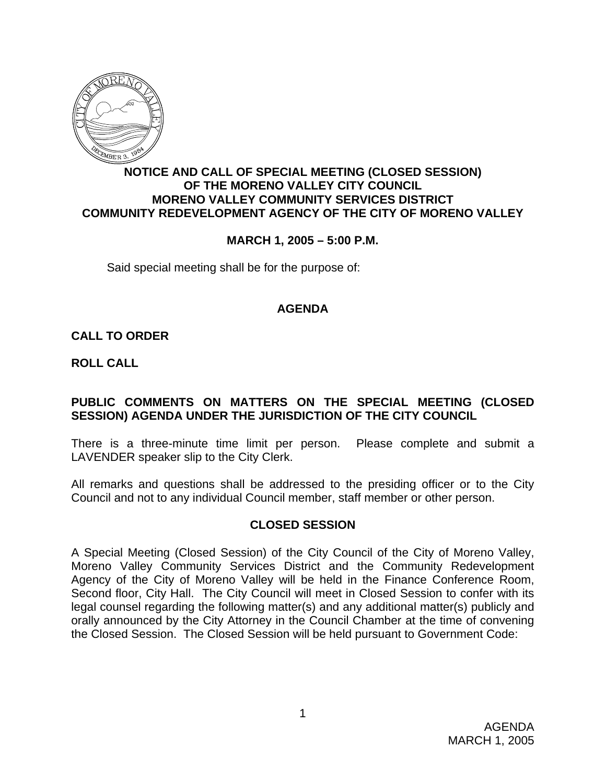

#### **NOTICE AND CALL OF SPECIAL MEETING (CLOSED SESSION) OF THE MORENO VALLEY CITY COUNCIL MORENO VALLEY COMMUNITY SERVICES DISTRICT COMMUNITY REDEVELOPMENT AGENCY OF THE CITY OF MORENO VALLEY**

### **MARCH 1, 2005 – 5:00 P.M.**

Said special meeting shall be for the purpose of:

# **AGENDA**

# **CALL TO ORDER**

**ROLL CALL**

# **PUBLIC COMMENTS ON MATTERS ON THE SPECIAL MEETING (CLOSED SESSION) AGENDA UNDER THE JURISDICTION OF THE CITY COUNCIL**

There is a three-minute time limit per person. Please complete and submit a LAVENDER speaker slip to the City Clerk.

All remarks and questions shall be addressed to the presiding officer or to the City Council and not to any individual Council member, staff member or other person.

### **CLOSED SESSION**

A Special Meeting (Closed Session) of the City Council of the City of Moreno Valley, Moreno Valley Community Services District and the Community Redevelopment Agency of the City of Moreno Valley will be held in the Finance Conference Room, Second floor, City Hall. The City Council will meet in Closed Session to confer with its legal counsel regarding the following matter(s) and any additional matter(s) publicly and orally announced by the City Attorney in the Council Chamber at the time of convening the Closed Session. The Closed Session will be held pursuant to Government Code: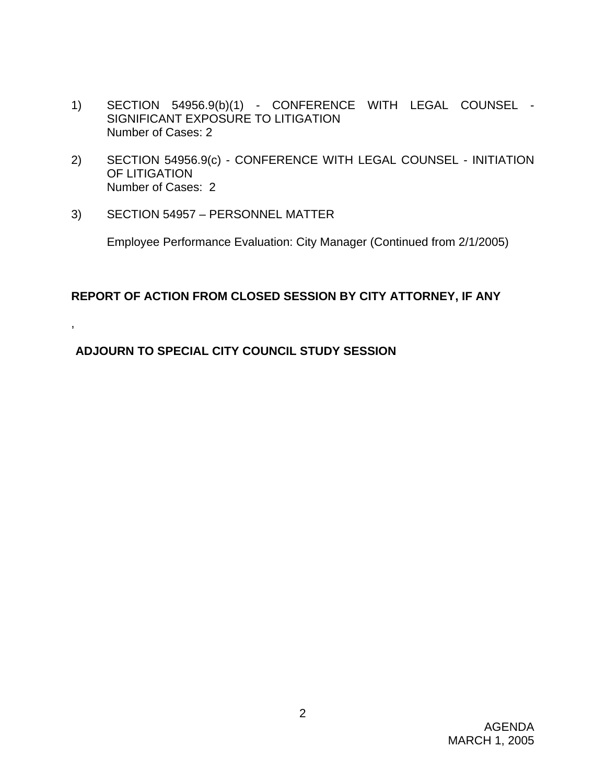- 1) SECTION 54956.9(b)(1) CONFERENCE WITH LEGAL COUNSEL SIGNIFICANT EXPOSURE TO LITIGATION Number of Cases: 2
- 2) SECTION 54956.9(c) CONFERENCE WITH LEGAL COUNSEL INITIATION OF LITIGATION Number of Cases: 2
- 3) SECTION 54957 PERSONNEL MATTER

,

Employee Performance Evaluation: City Manager (Continued from 2/1/2005)

# **REPORT OF ACTION FROM CLOSED SESSION BY CITY ATTORNEY, IF ANY**

# **ADJOURN TO SPECIAL CITY COUNCIL STUDY SESSION**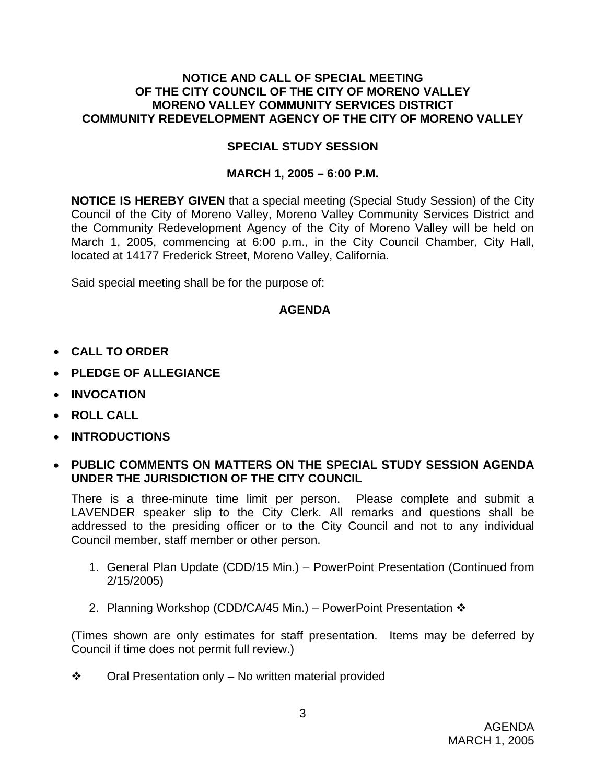### **NOTICE AND CALL OF SPECIAL MEETING OF THE CITY COUNCIL OF THE CITY OF MORENO VALLEY MORENO VALLEY COMMUNITY SERVICES DISTRICT COMMUNITY REDEVELOPMENT AGENCY OF THE CITY OF MORENO VALLEY**

### **SPECIAL STUDY SESSION**

# **MARCH 1, 2005 – 6:00 P.M.**

**NOTICE IS HEREBY GIVEN** that a special meeting (Special Study Session) of the City Council of the City of Moreno Valley, Moreno Valley Community Services District and the Community Redevelopment Agency of the City of Moreno Valley will be held on March 1, 2005, commencing at 6:00 p.m., in the City Council Chamber, City Hall, located at 14177 Frederick Street, Moreno Valley, California.

Said special meeting shall be for the purpose of:

# **AGENDA**

- **CALL TO ORDER**
- **PLEDGE OF ALLEGIANCE**
- **INVOCATION**
- **ROLL CALL**
- **INTRODUCTIONS**
- **PUBLIC COMMENTS ON MATTERS ON THE SPECIAL STUDY SESSION AGENDA UNDER THE JURISDICTION OF THE CITY COUNCIL**

There is a three-minute time limit per person. Please complete and submit a LAVENDER speaker slip to the City Clerk. All remarks and questions shall be addressed to the presiding officer or to the City Council and not to any individual Council member, staff member or other person.

- 1. General Plan Update (CDD/15 Min.) PowerPoint Presentation (Continued from 2/15/2005)
- 2. Planning Workshop (CDD/CA/45 Min.) PowerPoint Presentation  $\mathbf{\hat{v}}$

(Times shown are only estimates for staff presentation. Items may be deferred by Council if time does not permit full review.)

 $\mathbf{\hat{P}}$  Oral Presentation only – No written material provided